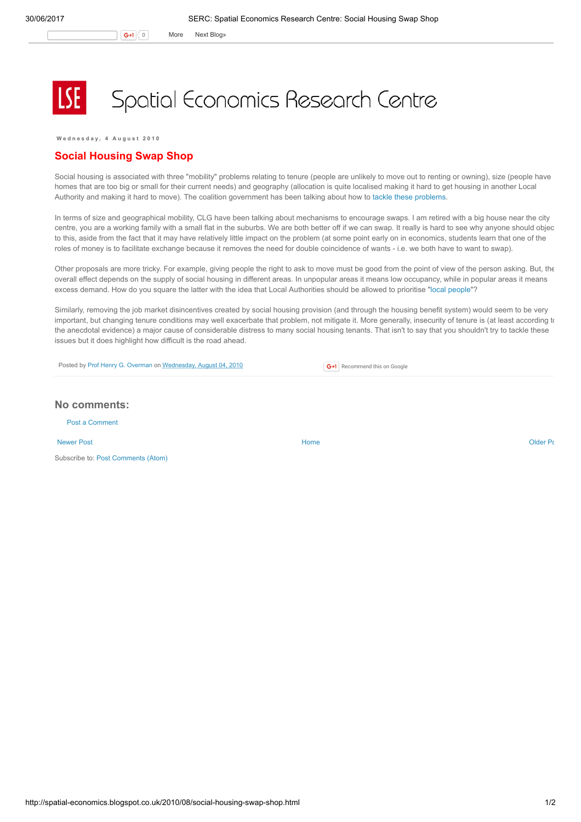$G+1$  0 More Next [Blog»](https://www.blogger.com/next-blog?navBar=true&blogID=974562301377041914)

Spatial Economics Research Centre

Wednesday, 4 August 2010

## Social Housing Swap Shop

Social housing is associated with three "mobility" problems relating to tenure (people are unlikely to move out to renting or owning), size (people have homes that are too big or small for their current needs) and geography (allocation is quite localised making it hard to get housing in another Local Authority and making it hard to move). The coalition government has been talking about how to tackle these [problems](http://www.bbc.co.uk/news/uk-politics-10855547).

In terms of size and geographical mobility, CLG have been talking about mechanisms to encourage swaps. I am retired with a big house near the city centre, you are a working family with a small flat in the suburbs. We are both better off if we can swap. It really is hard to see why anyone should objec to this, aside from the fact that it may have relatively little impact on the problem (at some point early on in economics, students learn that one of the roles of money is to facilitate exchange because it removes the need for double coincidence of wants - i.e. we both have to want to swap).

Other proposals are more tricky. For example, giving people the right to ask to move must be good from the point of view of the person asking. But, the overall effect depends on the supply of social housing in different areas. In unpopular areas it means low occupancy, while in popular areas it means excess demand. How do you square the latter with the idea that Local Authorities should be allowed to prioritise "local [people](http://spatial-economics.blogspot.com/2009/12/council-freedom-on-housing-allocation.html)"?

Similarly, removing the job market disincentives created by social housing provision (and through the housing benefit system) would seem to be very important, but changing tenure conditions may well exacerbate that problem, not mitigate it. More generally, insecurity of tenure is (at least according to the anecdotal evidence) a major cause of considerable distress to many social housing tenants. That isn't to say that you shouldn't try to tackle these issues but it does highlight how difficult is the road ahead.

Posted by Prof Henry G. [Overman](https://www.blogger.com/profile/15203876610491317062) on [Wednesday,](http://spatial-economics.blogspot.co.uk/2010/08/social-housing-swap-shop.html) August 04, 2010

**G+1** Recommend this on Google

## No comments:

Post a [Comment](https://www.blogger.com/comment.g?blogID=974562301377041914&postID=4526080202640842728)

[Newer](http://spatial-economics.blogspot.co.uk/2010/08/new-home-bonus.html) Post **New Account Contract Account Contract Account Contract Account Contract Account Contract [Older](http://spatial-economics.blogspot.co.uk/2010/07/mixed-communities.html) Post** 

Subscribe to: Post [Comments](http://spatial-economics.blogspot.com/feeds/4526080202640842728/comments/default) (Atom)